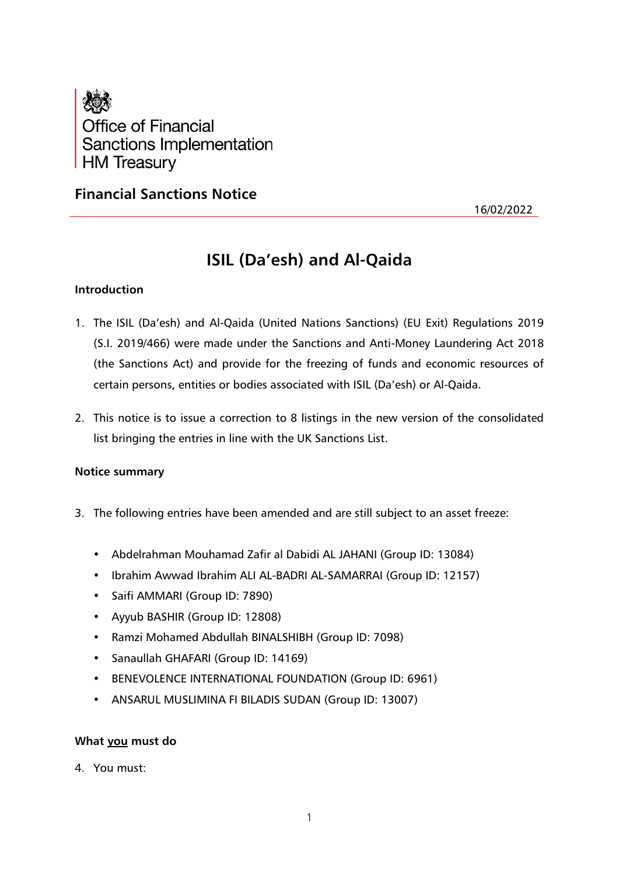

# **Financial Sanctions Notice**

16/02/2022

# **ISIL (Da'esh) and Al-Qaida**

# **Introduction**

- 1. The ISIL (Da'esh) and Al-Qaida (United Nations Sanctions) (EU Exit) Regulations 2019 (S.I. 2019/466) were made under the Sanctions and Anti-Money Laundering Act 2018 (the Sanctions Act) and provide for the freezing of funds and economic resources of certain persons, entities or bodies associated with ISIL (Da'esh) or Al-Qaida.
- 2. This notice is to issue a correction to 8 listings in the new version of the consolidated list bringing the entries in line with the UK Sanctions List.

# **Notice summary**

- 3. The following entries have been amended and are still subject to an asset freeze:
	- Abdelrahman Mouhamad Zafir al Dabidi AL JAHANI (Group ID: 13084)
	- Ibrahim Awwad Ibrahim ALI AL-BADRI AL-SAMARRAI (Group ID: 12157)
	- Saifi AMMARI (Group ID: 7890)
	- Ayyub BASHIR (Group ID: 12808)
	- Ramzi Mohamed Abdullah BINALSHIBH (Group ID: 7098)
	- Sanaullah GHAFARI (Group ID: 14169)
	- BENEVOLENCE INTERNATIONAL FOUNDATION (Group ID: 6961)
	- ANSARUL MUSLIMINA FI BILADIS SUDAN (Group ID: 13007)

# **What you must do**

4. You must: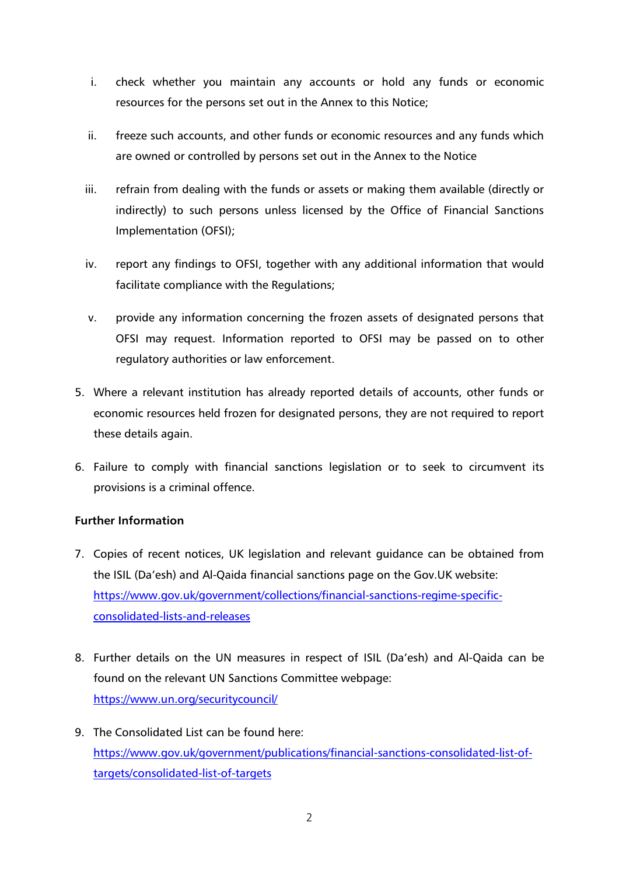- i. check whether you maintain any accounts or hold any funds or economic resources for the persons set out in the Annex to this Notice;
- ii. freeze such accounts, and other funds or economic resources and any funds which are owned or controlled by persons set out in the Annex to the Notice
- iii. refrain from dealing with the funds or assets or making them available (directly or indirectly) to such persons unless licensed by the Office of Financial Sanctions Implementation (OFSI);
- iv. report any findings to OFSI, together with any additional information that would facilitate compliance with the Regulations;
- v. provide any information concerning the frozen assets of designated persons that OFSI may request. Information reported to OFSI may be passed on to other regulatory authorities or law enforcement.
- 5. Where a relevant institution has already reported details of accounts, other funds or economic resources held frozen for designated persons, they are not required to report these details again.
- 6. Failure to comply with financial sanctions legislation or to seek to circumvent its provisions is a criminal offence.

# **Further Information**

- 7. Copies of recent notices, UK legislation and relevant guidance can be obtained from the ISIL (Da'esh) and Al-Qaida financial sanctions page on the Gov.UK website: [https://www.gov.uk/government/collections/financial-sanctions-regime-specific](https://www.gov.uk/government/collections/financial-sanctions-regime-specific-consolidated-lists-and-releases)[consolidated-lists-and-releases](https://www.gov.uk/government/collections/financial-sanctions-regime-specific-consolidated-lists-and-releases)
- 8. Further details on the UN measures in respect of ISIL (Da'esh) and Al-Qaida can be found on the relevant UN Sanctions Committee webpage: <https://www.un.org/securitycouncil/>
- 9. The Consolidated List can be found here: [https://www.gov.uk/government/publications/financial-sanctions-consolidated-list-of](https://www.gov.uk/government/publications/financial-sanctions-consolidated-list-of-targets/consolidated-list-of-targets)[targets/consolidated-list-of-targets](https://www.gov.uk/government/publications/financial-sanctions-consolidated-list-of-targets/consolidated-list-of-targets)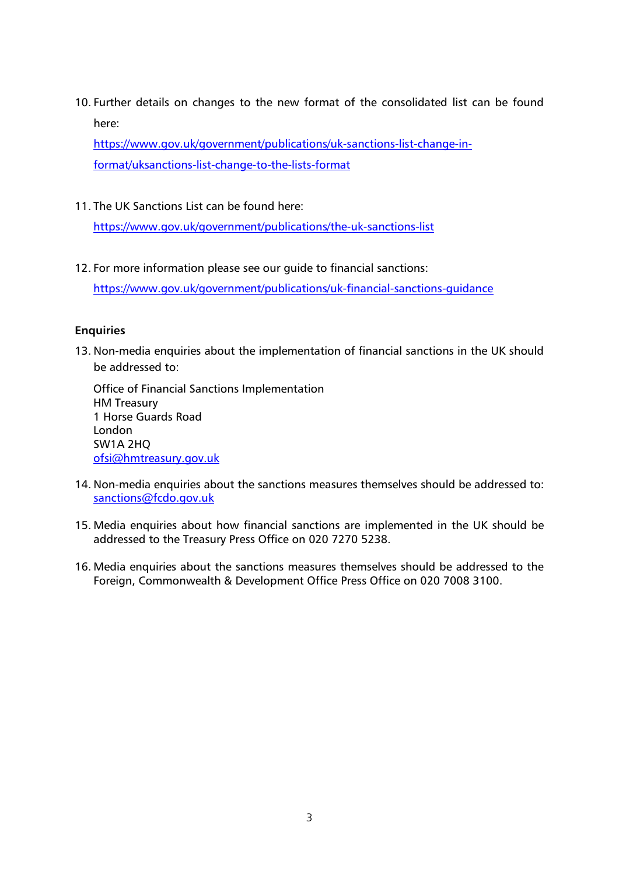10. Further details on changes to the new format of the consolidated list can be found here:

[https://www.gov.uk/government/publications/uk-sanctions-list-change-in](https://www.gov.uk/government/publications/uk-sanctions-list-change-in-format/uksanctions-list-change-to-the-lists-format)[format/uksanctions-list-change-to-the-lists-format](https://www.gov.uk/government/publications/uk-sanctions-list-change-in-format/uksanctions-list-change-to-the-lists-format)

11. The UK Sanctions List can be found here:

<https://www.gov.uk/government/publications/the-uk-sanctions-list>

12. For more information please see our guide to financial sanctions:

<https://www.gov.uk/government/publications/uk-financial-sanctions-guidance>

# **Enquiries**

13. Non-media enquiries about the implementation of financial sanctions in the UK should be addressed to:

Office of Financial Sanctions Implementation HM Treasury 1 Horse Guards Road London SW1A 2HQ [ofsi@hmtreasury.gov.uk](mailto:ofsi@hmtreasury.gov.uk)

- 14. Non-media enquiries about the sanctions measures themselves should be addressed to: [sanctions@fcdo.gov.uk](mailto:sanctions@fcdo.gov.uk)
- 15. Media enquiries about how financial sanctions are implemented in the UK should be addressed to the Treasury Press Office on 020 7270 5238.
- 16. Media enquiries about the sanctions measures themselves should be addressed to the Foreign, Commonwealth & Development Office Press Office on 020 7008 3100.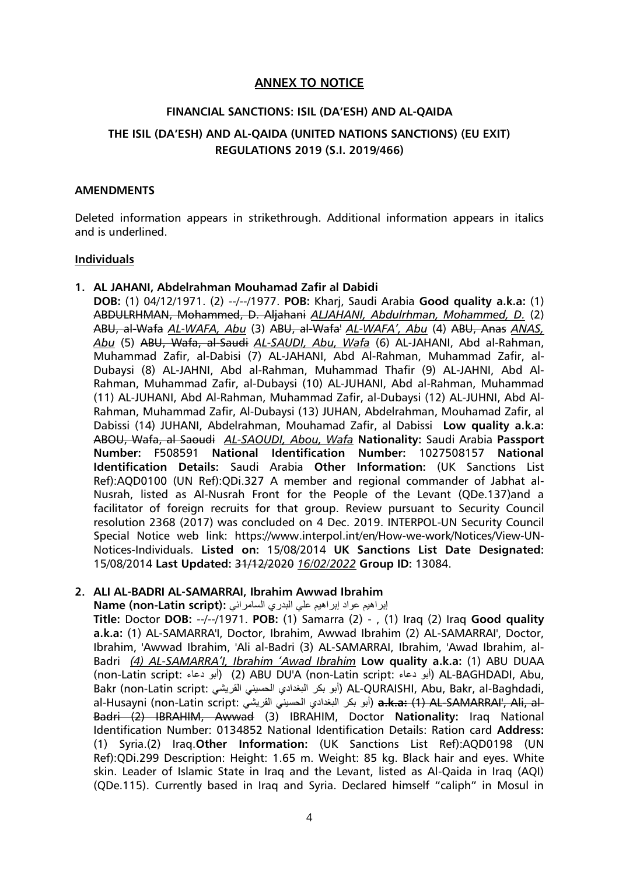# **ANNEX TO NOTICE**

# **FINANCIAL SANCTIONS: ISIL (DA'ESH) AND AL-QAIDA THE ISIL (DA'ESH) AND AL-QAIDA (UNITED NATIONS SANCTIONS) (EU EXIT) REGULATIONS 2019 (S.I. 2019/466)**

#### **AMENDMENTS**

Deleted information appears in strikethrough. Additional information appears in italics and is underlined.

#### **Individuals**

#### **1. AL JAHANI, Abdelrahman Mouhamad Zafir al Dabidi**

**DOB:** (1) 04/12/1971. (2) --/--/1977. **POB:** Kharj, Saudi Arabia **Good quality a.k.a:** (1) ABDULRHMAN, Mohammed, D. Aljahani *ALJAHANI, Abdulrhman, Mohammed, D.* (2) ABU, al-Wafa *AL-WAFA, Abu* (3) ABU, al-Wafa' *AL-WAFA', Abu* (4) ABU, Anas *ANAS, Abu* (5) ABU, Wafa, al-Saudi *AL-SAUDI, Abu, Wafa* (6) AL-JAHANI, Abd al-Rahman, Muhammad Zafir, al-Dabisi (7) AL-JAHANI, Abd Al-Rahman, Muhammad Zafir, al-Dubaysi (8) AL-JAHNI, Abd al-Rahman, Muhammad Thafir (9) AL-JAHNI, Abd Al-Rahman, Muhammad Zafir, al-Dubaysi (10) AL-JUHANI, Abd al-Rahman, Muhammad (11) AL-JUHANI, Abd Al-Rahman, Muhammad Zafir, al-Dubaysi (12) AL-JUHNI, Abd Al-Rahman, Muhammad Zafir, Al-Dubaysi (13) JUHAN, Abdelrahman, Mouhamad Zafir, al Dabissi (14) JUHANI, Abdelrahman, Mouhamad Zafir, al Dabissi **Low quality a.k.a:** ABOU, Wafa, al Saoudi *AL-SAOUDI, Abou, Wafa* **Nationality:** Saudi Arabia **Passport Number:** F508591 **National Identification Number:** 1027508157 **National Identification Details:** Saudi Arabia **Other Information:** (UK Sanctions List Ref):AQD0100 (UN Ref):QDi.327 A member and regional commander of Jabhat al-Nusrah, listed as Al-Nusrah Front for the People of the Levant (QDe.137)and a facilitator of foreign recruits for that group. Review pursuant to Security Council resolution 2368 (2017) was concluded on 4 Dec. 2019. INTERPOL-UN Security Council Special Notice web link: https://www.interpol.int/en/How-we-work/Notices/View-UN-Notices-Individuals. **Listed on:** 15/08/2014 **UK Sanctions List Date Designated:**  15/08/2014 **Last Updated:** 31/12/2020 *16/02/2022* **Group ID:** 13084.

#### **2. ALI AL-BADRI AL-SAMARRAI, Ibrahim Awwad Ibrahim**

إبراهيم عواد إبراهيم على البدري السامرائي **:(Name (non-Latin script** 

**Title:** Doctor **DOB:** --/--/1971. **POB:** (1) Samarra (2) - , (1) Iraq (2) Iraq **Good quality a.k.a:** (1) AL-SAMARRA'I, Doctor, Ibrahim, Awwad Ibrahim (2) AL-SAMARRAI', Doctor, Ibrahim, 'Awwad Ibrahim, 'Ali al-Badri (3) AL-SAMARRAI, Ibrahim, 'Awad Ibrahim, al-Badri *(4) AL-SAMARRA'I, Ibrahim 'Awad Ibrahim* **Low quality a.k.a:** (1) ABU DUAA (non-Latin script: دعاء أبو) (2 (ABU DU'A (non-Latin script: دعاء أبو (AL-BAGHDADI, Abu, Bakr (non-Latin script: القريشي الحسيني البغدادي بكر أبو (AL-QURAISHI, Abu, Bakr, al-Baghdadi, al-Husayni (non-Latin script: القريشي الحسيني البغدادي بكر أبو (**a.k.a:** (1) AL-SAMARRAI', Ali, al-Badri (2) IBRAHIM, Awwad (3) IBRAHIM, Doctor **Nationality:** Iraq National Identification Number: 0134852 National Identification Details: Ration card **Address:** (1) Syria.(2) Iraq.**Other Information:** (UK Sanctions List Ref):AQD0198 (UN Ref):QDi.299 Description: Height: 1.65 m. Weight: 85 kg. Black hair and eyes. White skin. Leader of Islamic State in Iraq and the Levant, listed as Al-Qaida in Iraq (AQI) (QDe.115). Currently based in Iraq and Syria. Declared himself "caliph" in Mosul in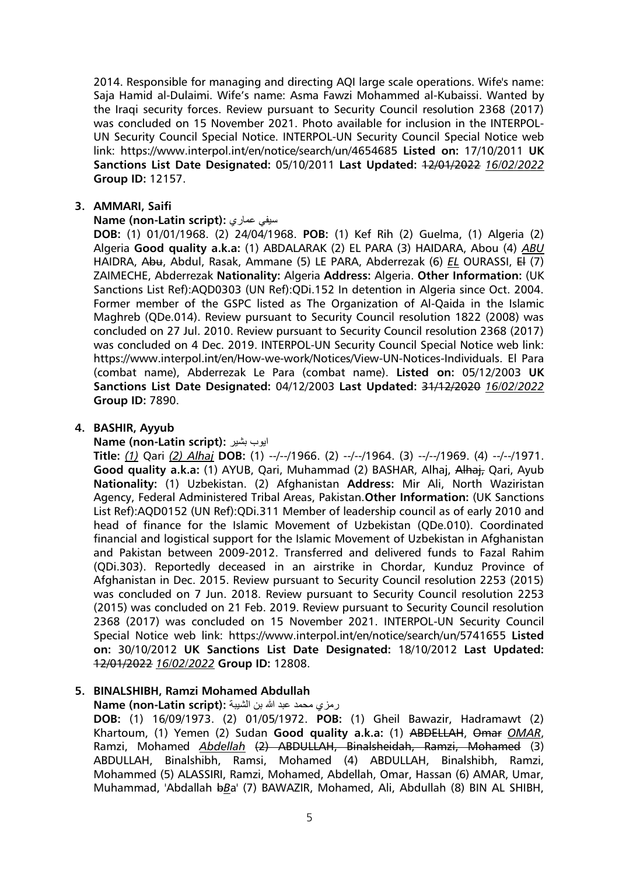2014. Responsible for managing and directing AQI large scale operations. Wife's name: Saja Hamid al-Dulaimi. Wife's name: Asma Fawzi Mohammed al-Kubaissi. Wanted by the Iraqi security forces. Review pursuant to Security Council resolution 2368 (2017) was concluded on 15 November 2021. Photo available for inclusion in the INTERPOL-UN Security Council Special Notice. INTERPOL-UN Security Council Special Notice web link: https://www.interpol.int/en/notice/search/un/4654685 **Listed on:** 17/10/2011 **UK Sanctions List Date Designated:** 05/10/2011 **Last Updated:** 12/01/2022 *16/02/2022* **Group ID:** 12157.

### **3. AMMARI, Saifi**

#### **Name (non-Latin script):** عماري سيفي

**DOB:** (1) 01/01/1968. (2) 24/04/1968. **POB:** (1) Kef Rih (2) Guelma, (1) Algeria (2) Algeria **Good quality a.k.a:** (1) ABDALARAK (2) EL PARA (3) HAIDARA, Abou (4) *ABU* HAIDRA, Abu, Abdul, Rasak, Ammane (5) LE PARA, Abderrezak (6) *EL* OURASSI, El (7) ZAIMECHE, Abderrezak **Nationality:** Algeria **Address:** Algeria. **Other Information:** (UK Sanctions List Ref):AQD0303 (UN Ref):QDi.152 In detention in Algeria since Oct. 2004. Former member of the GSPC listed as The Organization of Al-Qaida in the Islamic Maghreb (QDe.014). Review pursuant to Security Council resolution 1822 (2008) was concluded on 27 Jul. 2010. Review pursuant to Security Council resolution 2368 (2017) was concluded on 4 Dec. 2019. INTERPOL-UN Security Council Special Notice web link: https://www.interpol.int/en/How-we-work/Notices/View-UN-Notices-Individuals. El Para (combat name), Abderrezak Le Para (combat name). **Listed on:** 05/12/2003 **UK Sanctions List Date Designated:** 04/12/2003 **Last Updated:** 31/12/2020 *16/02/2022* **Group ID:** 7890.

# **4. BASHIR, Ayyub**

#### **Name (non-Latin script):** بشير ايوب

**Title:** *(1)* Qari *(2) Alhaj* **DOB:** (1) --/--/1966. (2) --/--/1964. (3) --/--/1969. (4) --/--/1971. **Good quality a.k.a:** (1) AYUB, Qari, Muhammad (2) BASHAR, Alhaj, Alhaj, Qari, Ayub **Nationality:** (1) Uzbekistan. (2) Afghanistan **Address:** Mir Ali, North Waziristan Agency, Federal Administered Tribal Areas, Pakistan.**Other Information:** (UK Sanctions List Ref):AQD0152 (UN Ref):QDi.311 Member of leadership council as of early 2010 and head of finance for the Islamic Movement of Uzbekistan (QDe.010). Coordinated financial and logistical support for the Islamic Movement of Uzbekistan in Afghanistan and Pakistan between 2009-2012. Transferred and delivered funds to Fazal Rahim (QDi.303). Reportedly deceased in an airstrike in Chordar, Kunduz Province of Afghanistan in Dec. 2015. Review pursuant to Security Council resolution 2253 (2015) was concluded on 7 Jun. 2018. Review pursuant to Security Council resolution 2253 (2015) was concluded on 21 Feb. 2019. Review pursuant to Security Council resolution 2368 (2017) was concluded on 15 November 2021. INTERPOL-UN Security Council Special Notice web link: https://www.interpol.int/en/notice/search/un/5741655 **Listed on:** 30/10/2012 **UK Sanctions List Date Designated:** 18/10/2012 **Last Updated:** 12/01/2022 *16/02/2022* **Group ID:** 12808.

# **5. BINALSHIBH, Ramzi Mohamed Abdullah**

رمزي محمد عبد هللا بن الشيبة **:(script Latin-non (Name**

**DOB:** (1) 16/09/1973. (2) 01/05/1972. **POB:** (1) Gheil Bawazir, Hadramawt (2) Khartoum, (1) Yemen (2) Sudan **Good quality a.k.a:** (1) ABDELLAH, Omar *OMAR*, Ramzi, Mohamed *Abdellah* (2) ABDULLAH, Binalsheidah, Ramzi, Mohamed (3) ABDULLAH, Binalshibh, Ramsi, Mohamed (4) ABDULLAH, Binalshibh, Ramzi, Mohammed (5) ALASSIRI, Ramzi, Mohamed, Abdellah, Omar, Hassan (6) AMAR, Umar, Muhammad, 'Abdallah b*B*a' (7) BAWAZIR, Mohamed, Ali, Abdullah (8) BIN AL SHIBH,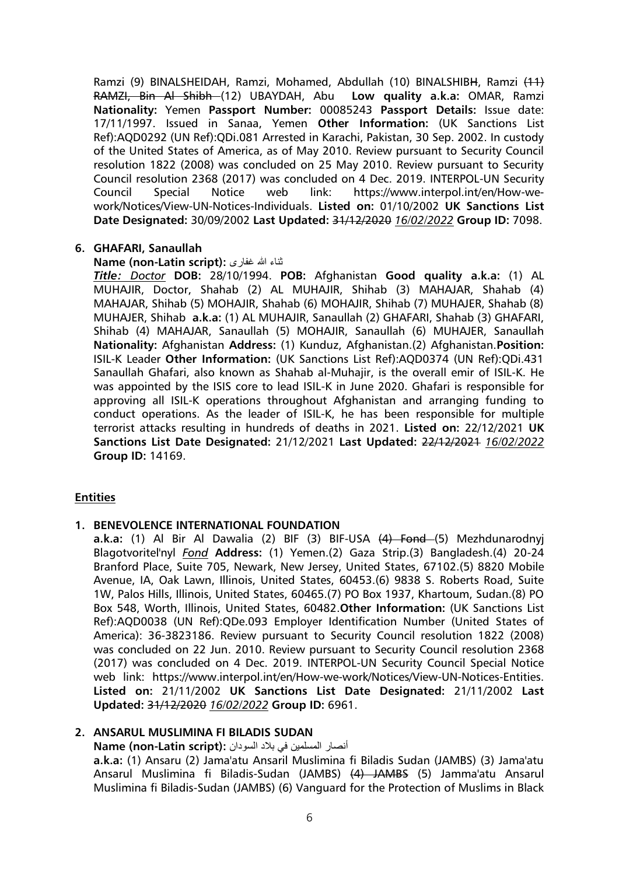Ramzi (9) BINALSHEIDAH, Ramzi, Mohamed, Abdullah (10) BINALSHIBH, Ramzi (11) RAMZI, Bin Al Shibh (12) UBAYDAH, Abu **Low quality a.k.a:** OMAR, Ramzi **Nationality:** Yemen **Passport Number:** 00085243 **Passport Details:** Issue date: 17/11/1997. Issued in Sanaa, Yemen **Other Information:** (UK Sanctions List Ref):AQD0292 (UN Ref):QDi.081 Arrested in Karachi, Pakistan, 30 Sep. 2002. In custody of the United States of America, as of May 2010. Review pursuant to Security Council resolution 1822 (2008) was concluded on 25 May 2010. Review pursuant to Security Council resolution 2368 (2017) was concluded on 4 Dec. 2019. INTERPOL-UN Security Council Special Notice web link: https://www.interpol.int/en/How-wework/Notices/View-UN-Notices-Individuals. **Listed on:** 01/10/2002 **UK Sanctions List Date Designated:** 30/09/2002 **Last Updated:** 31/12/2020 *16/02/2022* **Group ID:** 7098.

#### **6. GHAFARI, Sanaullah**

#### **Name (non-Latin script):** غفاری هللا ثناء

*Title: Doctor* **DOB:** 28/10/1994. **POB:** Afghanistan **Good quality a.k.a:** (1) AL MUHAJIR, Doctor, Shahab (2) AL MUHAJIR, Shihab (3) MAHAJAR, Shahab (4) MAHAJAR, Shihab (5) MOHAJIR, Shahab (6) MOHAJIR, Shihab (7) MUHAJER, Shahab (8) MUHAJER, Shihab **a.k.a:** (1) AL MUHAJIR, Sanaullah (2) GHAFARI, Shahab (3) GHAFARI, Shihab (4) MAHAJAR, Sanaullah (5) MOHAJIR, Sanaullah (6) MUHAJER, Sanaullah **Nationality:** Afghanistan **Address:** (1) Kunduz, Afghanistan.(2) Afghanistan.**Position:** ISIL-K Leader **Other Information:** (UK Sanctions List Ref):AQD0374 (UN Ref):QDi.431 Sanaullah Ghafari, also known as Shahab al-Muhajir, is the overall emir of ISIL-K. He was appointed by the ISIS core to lead ISIL-K in June 2020. Ghafari is responsible for approving all ISIL-K operations throughout Afghanistan and arranging funding to conduct operations. As the leader of ISIL-K, he has been responsible for multiple terrorist attacks resulting in hundreds of deaths in 2021. **Listed on:** 22/12/2021 **UK Sanctions List Date Designated:** 21/12/2021 **Last Updated:** 22/12/2021 *16/02/2022* **Group ID:** 14169.

# **Entities**

# **1. BENEVOLENCE INTERNATIONAL FOUNDATION**

**a.k.a:** (1) Al Bir Al Dawalia (2) BIF (3) BIF-USA (4) Fond (5) Mezhdunarodnyj Blagotvoritel'nyl *Fond* **Address:** (1) Yemen.(2) Gaza Strip.(3) Bangladesh.(4) 20-24 Branford Place, Suite 705, Newark, New Jersey, United States, 67102.(5) 8820 Mobile Avenue, IA, Oak Lawn, Illinois, United States, 60453.(6) 9838 S. Roberts Road, Suite 1W, Palos Hills, Illinois, United States, 60465.(7) PO Box 1937, Khartoum, Sudan.(8) PO Box 548, Worth, Illinois, United States, 60482.**Other Information:** (UK Sanctions List Ref):AQD0038 (UN Ref):QDe.093 Employer Identification Number (United States of America): 36-3823186. Review pursuant to Security Council resolution 1822 (2008) was concluded on 22 Jun. 2010. Review pursuant to Security Council resolution 2368 (2017) was concluded on 4 Dec. 2019. INTERPOL-UN Security Council Special Notice web link: https://www.interpol.int/en/How-we-work/Notices/View-UN-Notices-Entities. **Listed on:** 21/11/2002 **UK Sanctions List Date Designated:** 21/11/2002 **Last Updated:** 31/12/2020 *16/02/2022* **Group ID:** 6961.

#### **2. ANSARUL MUSLIMINA FI BILADIS SUDAN**

أنصار المسلمين في بلاد السودان **: Name (non-Latin script**)

**a.k.a:** (1) Ansaru (2) Jama'atu Ansaril Muslimina fi Biladis Sudan (JAMBS) (3) Jama'atu Ansarul Muslimina fi Biladis-Sudan (JAMBS) (4) JAMBS (5) Jamma'atu Ansarul Muslimina fi Biladis-Sudan (JAMBS) (6) Vanguard for the Protection of Muslims in Black